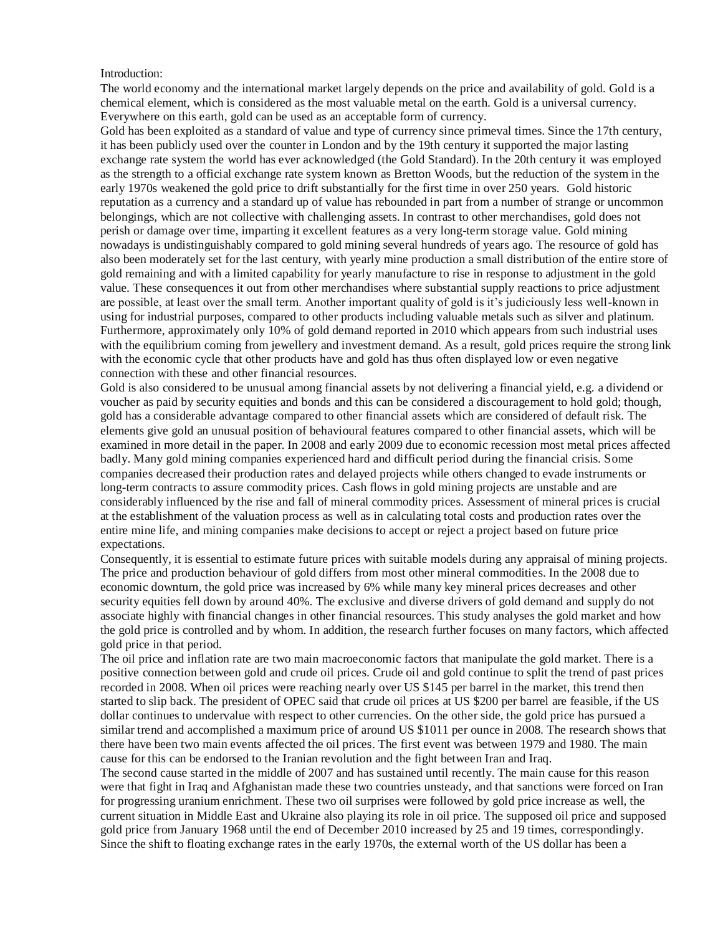Introduction:

The world economy and the international market largely depends on the price and availability of gold. Gold is a chemical element, which is considered as the most valuable metal on the earth. Gold is a universal currency. Everywhere on this earth, gold can be used as an acceptable form of currency.

Gold has been exploited as a standard of value and type of currency since primeval times. Since the 17th century, it has been publicly used over the counter in London and by the 19th century it supported the major lasting exchange rate system the world has ever acknowledged (the Gold Standard). In the 20th century it was employed as the strength to a official exchange rate system known as Bretton Woods, but the reduction of the system in the early 1970s weakened the gold price to drift substantially for the first time in over 250 years. Gold historic reputation as a currency and a standard up of value has rebounded in part from a number of strange or uncommon belongings, which are not collective with challenging assets. In contrast to other merchandises, gold does not perish or damage over time, imparting it excellent features as a very long-term storage value. Gold mining nowadays is undistinguishably compared to gold mining several hundreds of years ago. The resource of gold has also been moderately set for the last century, with yearly mine production a small distribution of the entire store of gold remaining and with a limited capability for yearly manufacture to rise in response to adjustment in the gold value. These consequences it out from other merchandises where substantial supply reactions to price adjustment are possible, at least over the small term. Another important quality of gold is it's judiciously less well-known in using for industrial purposes, compared to other products including valuable metals such as silver and platinum. Furthermore, approximately only 10% of gold demand reported in 2010 which appears from such industrial uses with the equilibrium coming from jewellery and investment demand. As a result, gold prices require the strong link with the economic cycle that other products have and gold has thus often displayed low or even negative connection with these and other financial resources.

Gold is also considered to be unusual among financial assets by not delivering a financial yield, e.g. a dividend or voucher as paid by security equities and bonds and this can be considered a discouragement to hold gold; though, gold has a considerable advantage compared to other financial assets which are considered of default risk. The elements give gold an unusual position of behavioural features compared to other financial assets, which will be examined in more detail in the paper. In 2008 and early 2009 due to economic recession most metal prices affected badly. Many gold mining companies experienced hard and difficult period during the financial crisis. Some companies decreased their production rates and delayed projects while others changed to evade instruments or long-term contracts to assure commodity prices. Cash flows in gold mining projects are unstable and are considerably influenced by the rise and fall of mineral commodity prices. Assessment of mineral prices is crucial at the establishment of the valuation process as well as in calculating total costs and production rates over the entire mine life, and mining companies make decisions to accept or reject a project based on future price expectations.

Consequently, it is essential to estimate future prices with suitable models during any appraisal of mining projects. The price and production behaviour of gold differs from most other mineral commodities. In the 2008 due to economic downturn, the gold price was increased by 6% while many key mineral prices decreases and other security equities fell down by around 40%. The exclusive and diverse drivers of gold demand and supply do not associate highly with financial changes in other financial resources. This study analyses the gold market and how the gold price is controlled and by whom. In addition, the research further focuses on many factors, which affected gold price in that period.

The oil price and inflation rate are two main macroeconomic factors that manipulate the gold market. There is a positive connection between gold and crude oil prices. Crude oil and gold continue to split the trend of past prices recorded in 2008. When oil prices were reaching nearly over US \$145 per barrel in the market, this trend then started to slip back. The president of OPEC said that crude oil prices at US \$200 per barrel are feasible, if the US dollar continues to undervalue with respect to other currencies. On the other side, the gold price has pursued a similar trend and accomplished a maximum price of around US \$1011 per ounce in 2008. The research shows that there have been two main events affected the oil prices. The first event was between 1979 and 1980. The main cause for this can be endorsed to the Iranian revolution and the fight between Iran and Iraq.

The second cause started in the middle of 2007 and has sustained until recently. The main cause for this reason were that fight in Iraq and Afghanistan made these two countries unsteady, and that sanctions were forced on Iran for progressing uranium enrichment. These two oil surprises were followed by gold price increase as well, the current situation in Middle East and Ukraine also playing its role in oil price. The supposed oil price and supposed gold price from January 1968 until the end of December 2010 increased by 25 and 19 times, correspondingly. Since the shift to floating exchange rates in the early 1970s, the external worth of the US dollar has been a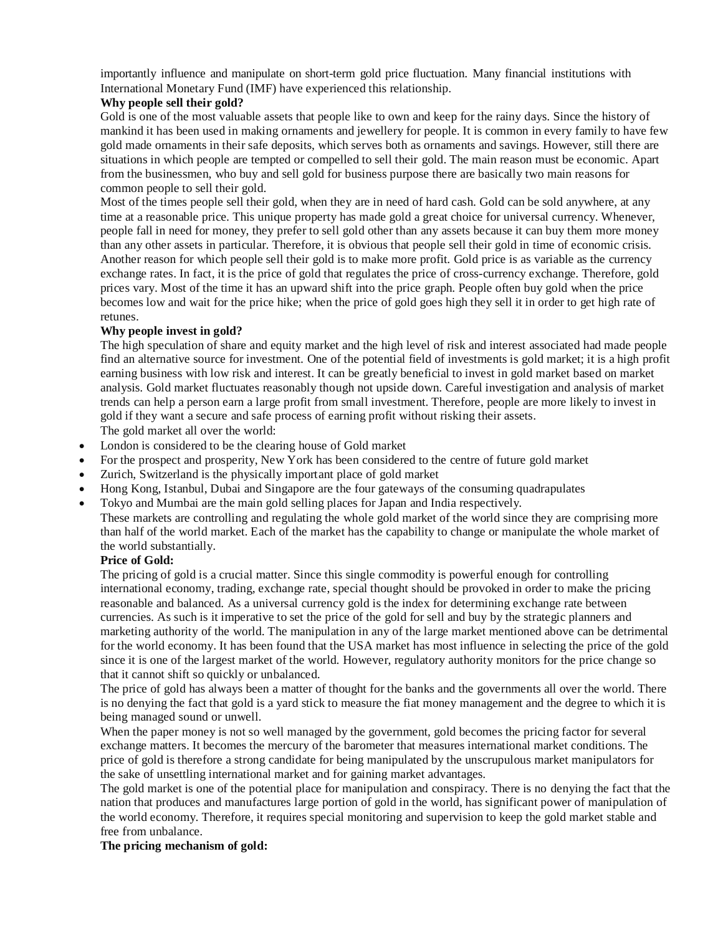importantly influence and manipulate on short-term gold price fluctuation. Many financial institutions with International Monetary Fund (IMF) have experienced this relationship.

## **Why people sell their gold?**

Gold is one of the most valuable assets that people like to own and keep for the rainy days. Since the history of mankind it has been used in making ornaments and jewellery for people. It is common in every family to have few gold made ornaments in their safe deposits, which serves both as ornaments and savings. However, still there are situations in which people are tempted or compelled to sell their gold. The main reason must be economic. Apart from the businessmen, who buy and sell gold for business purpose there are basically two main reasons for common people to sell their gold.

Most of the times people sell their gold, when they are in need of hard cash. Gold can be sold anywhere, at any time at a reasonable price. This unique property has made gold a great choice for universal currency. Whenever, people fall in need for money, they prefer to sell gold other than any assets because it can buy them more money than any other assets in particular. Therefore, it is obvious that people sell their gold in time of economic crisis. Another reason for which people sell their gold is to make more profit. Gold price is as variable as the currency exchange rates. In fact, it is the price of gold that regulates the price of cross-currency exchange. Therefore, gold prices vary. Most of the time it has an upward shift into the price graph. People often buy gold when the price becomes low and wait for the price hike; when the price of gold goes high they sell it in order to get high rate of retunes.

## **Why people invest in gold?**

The high speculation of share and equity market and the high level of risk and interest associated had made people find an alternative source for investment. One of the potential field of investments is gold market; it is a high profit earning business with low risk and interest. It can be greatly beneficial to invest in gold market based on market analysis. Gold market fluctuates reasonably though not upside down. Careful investigation and analysis of market trends can help a person earn a large profit from small investment. Therefore, people are more likely to invest in gold if they want a secure and safe process of earning profit without risking their assets. The gold market all over the world:

- London is considered to be the clearing house of Gold market
- For the prospect and prosperity, New York has been considered to the centre of future gold market
- Zurich, Switzerland is the physically important place of gold market
- Hong Kong, Istanbul, Dubai and Singapore are the four gateways of the consuming quadrapulates
- Tokyo and Mumbai are the main gold selling places for Japan and India respectively.

These markets are controlling and regulating the whole gold market of the world since they are comprising more than half of the world market. Each of the market has the capability to change or manipulate the whole market of the world substantially.

## **Price of Gold:**

The pricing of gold is a crucial matter. Since this single commodity is powerful enough for controlling international economy, trading, exchange rate, special thought should be provoked in order to make the pricing reasonable and balanced. As a universal currency gold is the index for determining exchange rate between currencies. As such is it imperative to set the price of the gold for sell and buy by the strategic planners and marketing authority of the world. The manipulation in any of the large market mentioned above can be detrimental for the world economy. It has been found that the USA market has most influence in selecting the price of the gold since it is one of the largest market of the world. However, regulatory authority monitors for the price change so that it cannot shift so quickly or unbalanced.

The price of gold has always been a matter of thought for the banks and the governments all over the world. There is no denying the fact that gold is a yard stick to measure the fiat money management and the degree to which it is being managed sound or unwell.

When the paper money is not so well managed by the government, gold becomes the pricing factor for several exchange matters. It becomes the mercury of the barometer that measures international market conditions. The price of gold is therefore a strong candidate for being manipulated by the unscrupulous market manipulators for the sake of unsettling international market and for gaining market advantages.

The gold market is one of the potential place for manipulation and conspiracy. There is no denying the fact that the nation that produces and manufactures large portion of gold in the world, has significant power of manipulation of the world economy. Therefore, it requires special monitoring and supervision to keep the gold market stable and free from unbalance.

## **The pricing mechanism of gold:**